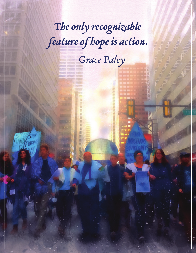The only recognizable feature of hope is action.

- Grace Paley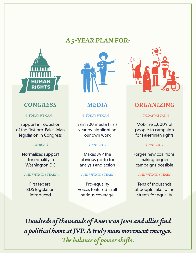# **A 5-YEAR PLAN FOR:**



Support introduction of the first pro-Palestinian legislation in Congress

#### ↓WHICH ↓

Normalizes support for equality in Washington DC

#### ↓ AND WITHIN 5 YEARS ↓

First federal BDS legislation introduced



Earn 700 media hits a year by highlighting our own work

#### ↓ WHICH ↓

Makes JVP the obvious go-to for analysis and action

#### ↓ AND WITHIN 5 YEARS ↓

Pro-equality voices featured in all serious coverage



## **CONGRESS MEDIA ORGANIZING**

↓ TODAY WE CAN ↓ ↓ TODAY WE CAN ↓ ↓ TODAY WE CAN ↓

Mobilize 1,000's of people to campaign for Palestinian rights

### ↓ WHICH ↓

Forges new coalitions, making bigger campaigns possible

#### ↓ AND WITHIN 5 YEARS ↓

Tens of thousands of people take to the streets for equality

**Hundreds of thousands of American Jews and allies find a political home at JVP. A truly mass movement emerges. The balance of power shifs.**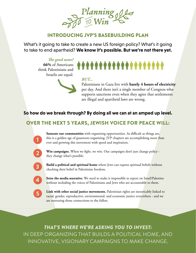

# INTRODUCING JVP'S BASEBUILDING PLAN

What's it going to take to create a new US foreign policy? What's it going to take to end apartheid? **We know it's possible. But we're not there yet.**

**The good news? 66%** of Americans think Palestinians and Israelis are equal.

# \*\*\*\*\*\*\*\*\*\*\*\*\*\*\*\*\*\*\*\*

## *BUT...*

Palestinians in Gaza live with **barely 4 hours of electricity** per day. And there isn't a single member of Congress who supports sanctions even when they agree that settlements are illegal and apartheid laws are wrong.

# **So how do we break through? By doing all we can at an amped up level.**

# OVER THE NEXT 5 YEARS, JEWISH VOICE FOR PEACE WILL:



**Saturate our communities** with organizing opportunities. As difficult as things are, this is a golden age of grassroots organizing. JVP chapters are accomplishing more than ever and growing this movement with speed and inspiration.



**Win campaigns.** When we fight, we win. Our campaigns don't just change policy they change what's possible.



**Build a political and spiritual home** where Jews can express spiritual beliefs without checking their belief in Palestinian freedom.



**Seize the media narrative.** We need to make it impossible to report on Israel/Palestine without including the voices of Palestinians and Jews who are accountable to them.



**Link with other social justice movements.** Palestinian rights are inextricably linked to racial, gender, reproductive, environmental, and economic justice everywhere - and we are nurturing those connections to the fullest.

*THAT'S WHERE WE'RE ASKING YOU TO INVEST:*  IN DEEP ORGANIZING THAT BUILDS A POLITICAL HOME, AND INNOVATIVE, VISIONARY CAMPAIGNS TO MAKE CHANGE.